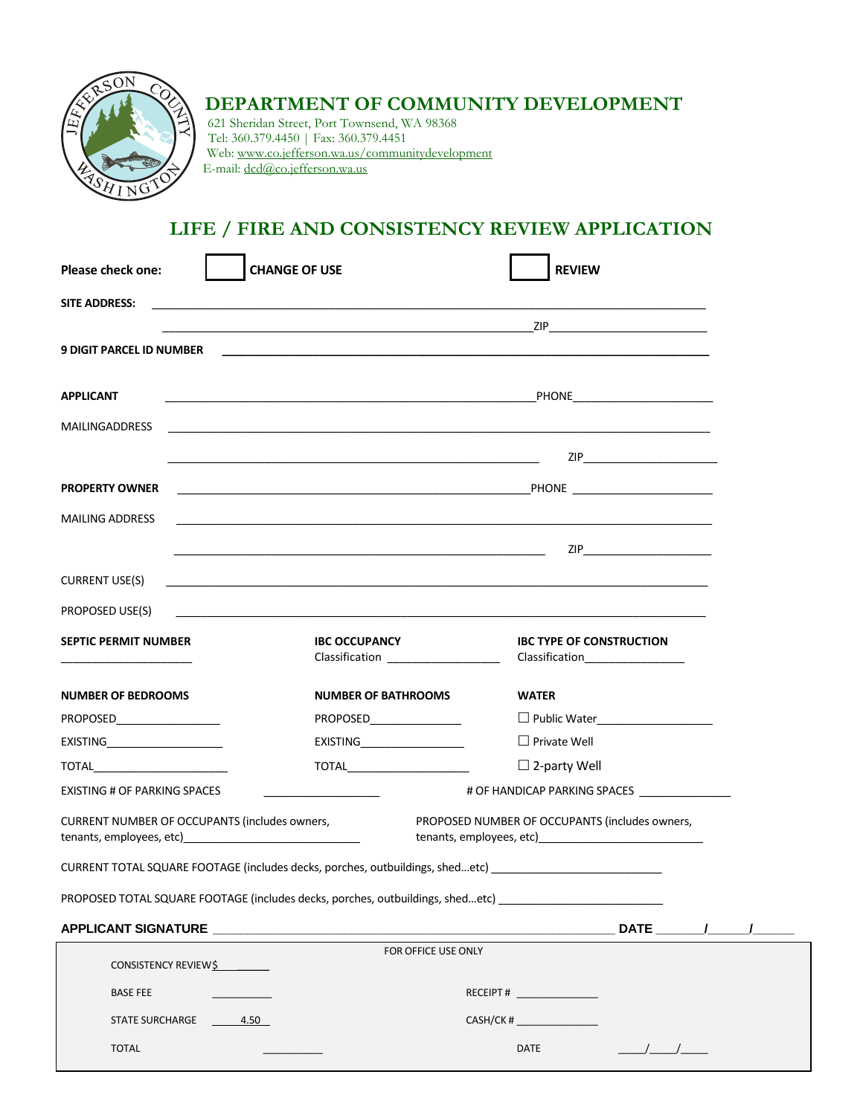

# **DEPARTMENT OF COMMUNITY DEVELOPMENT**

621 Sheridan Street, Port Townsend, WA 98368 Tel: 360.379.4450 | Fax: 360.379.4451 Web: www.co.jefferson.wa.us/communitydevelopment E-mail: dcd@co.jefferson.wa.us

### **LIFE / FIRE AND CONSISTENCY REVIEW APPLICATION**

| <b>CHANGE OF USE</b><br><b>Please check one:</b>                                                           |                                                                                                                    | <b>REVIEW</b>                                                                                                         |  |
|------------------------------------------------------------------------------------------------------------|--------------------------------------------------------------------------------------------------------------------|-----------------------------------------------------------------------------------------------------------------------|--|
| <b>SITE ADDRESS:</b>                                                                                       |                                                                                                                    |                                                                                                                       |  |
|                                                                                                            |                                                                                                                    |                                                                                                                       |  |
| <b>9 DIGIT PARCEL ID NUMBER</b>                                                                            |                                                                                                                    |                                                                                                                       |  |
|                                                                                                            |                                                                                                                    |                                                                                                                       |  |
| <b>APPLICANT</b>                                                                                           |                                                                                                                    | <u>PHONE</u> <b>PHONE PHONE</b>                                                                                       |  |
| <b>MAILINGADDRESS</b>                                                                                      |                                                                                                                    | <u> 1989 - Johann Stoff, amerikansk politiker (d. 1989)</u>                                                           |  |
|                                                                                                            | <u> 1989 - Johann Barnett, fransk politik (d. 1989)</u>                                                            | ZIP___________________________                                                                                        |  |
| <b>PROPERTY OWNER</b>                                                                                      |                                                                                                                    |                                                                                                                       |  |
| <b>MAILING ADDRESS</b>                                                                                     |                                                                                                                    | <u> 1989 - Johann Harry Harry Harry Harry Harry Harry Harry Harry Harry Harry Harry Harry Harry Harry Harry Harry</u> |  |
|                                                                                                            | <u> 1989 - Johann Barnett, fransk politiker (d. 1989)</u>                                                          |                                                                                                                       |  |
| <b>CURRENT USE(S)</b>                                                                                      | <u> 1980 - Jan James James James James James James James James James James James James James James James James</u> |                                                                                                                       |  |
| PROPOSED USE(S)                                                                                            |                                                                                                                    |                                                                                                                       |  |
| <b>SEPTIC PERMIT NUMBER</b>                                                                                | <b>IBC OCCUPANCY</b><br>Classification<br><u> Classification</u>                                                   | <b>IBC TYPE OF CONSTRUCTION</b>                                                                                       |  |
| <b>NUMBER OF BEDROOMS</b>                                                                                  | <b>NUMBER OF BATHROOMS</b>                                                                                         | <b>WATER</b>                                                                                                          |  |
| PROPOSED__________________                                                                                 | PROPOSED_________________                                                                                          | D Public Water____________________                                                                                    |  |
| EXISTING_______________________                                                                            | EXISTING____________________                                                                                       | $\Box$ Private Well                                                                                                   |  |
|                                                                                                            |                                                                                                                    | $\square$ 2-party Well                                                                                                |  |
| # OF HANDICAP PARKING SPACES ________________<br>EXISTING # OF PARKING SPACES                              |                                                                                                                    |                                                                                                                       |  |
| CURRENT NUMBER OF OCCUPANTS (includes owners,<br>PROPOSED NUMBER OF OCCUPANTS (includes owners,            |                                                                                                                    |                                                                                                                       |  |
| CURRENT TOTAL SQUARE FOOTAGE (includes decks, porches, outbuildings, shedetc) ____________________________ |                                                                                                                    |                                                                                                                       |  |
| PROPOSED TOTAL SQUARE FOOTAGE (includes decks, porches, outbuildings, shedetc) _________________           |                                                                                                                    |                                                                                                                       |  |
| APPLICANT SIGNATURE                                                                                        |                                                                                                                    | DATE $\frac{1}{\sqrt{1-\frac{1}{2}}}$                                                                                 |  |
| CONSISTENCY REVIEWS                                                                                        | FOR OFFICE USE ONLY                                                                                                |                                                                                                                       |  |
| <b>BASE FEE</b>                                                                                            |                                                                                                                    | RECEIPT#                                                                                                              |  |
| STATE SURCHARGE 4.50                                                                                       |                                                                                                                    | CASH/CK #                                                                                                             |  |
| <b>TOTAL</b>                                                                                               |                                                                                                                    | DATE                                                                                                                  |  |